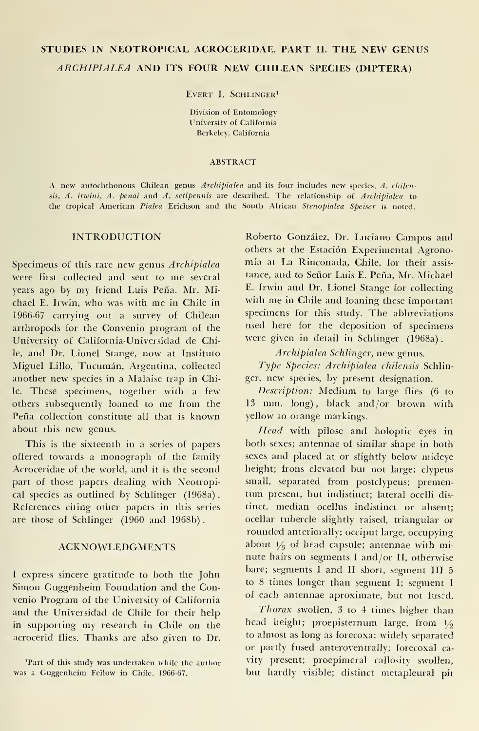# STUDIES IN NEOTROPICAL ACROCERIDAE, PART II. THE NEW GENUS ARCHIPIALEA AND ITS FOUR NEW CHILEAN SPECIES (DÍPTERA)

EVERT I. SCHLINGER<sup>1</sup>

División of Entomology University of California Berkeley, California

#### **ABSTRACT**

A new autochthonous Chilean genus Archipialea and its four includes new species. A. chilensis, A. irwini, A. penai and A. setipennis are described. The relationship of Archipialea to the tropical American Pialea Erichson and the South African Stenopialea Speiser is noted.

### INTRODUCTION

Specimens of this rare new genus Archipialea were first collected and sent to me several years ago by my friend Luis Peña. Mr. Michael E. Irwin, who was with me in Chile in 1966-67 carrying out a survey of Chilean arthropods for the Convenio program of the University of California-Universidad de Chile, and Dr. Lionel Stange, now at Instituto Miguel Lillo, Tucumán, Argentina, collected another new species in <sup>a</sup> Malaise trap in Chile. These specimens, together with a few others subsequently loaned to me from the Peña collection constitute all that is known about this new genus.

This is the sixteenth in a series of papers offered towards a monograph of the family Acroceridae of the world, and it is the second part of those papers dealing with Neotropical species as outlined by Schlinger (1968a). References citing other papers in this series are those of Schlinger (1960 and 1968b).

### ACKNOWLEDGMENTS

<sup>I</sup> express sincere gratitude to both the John Simon Guggenheim Foundation and the Convenio Program of the University of California and the Universidad de Chile for their help in supporting my research in Chile on the acrocerid flies. Thanks are also given to Dr. Roberto González, Dr. Luciano Campos and others at the Estación Experimental Agrono mía at La Rinconada, Chile, for their assis tance, and to Señor Luis E. Peña, Mr. Michael E. Irwin and Dr. Lionel Stange for collecting with me in Chile and loaning these important specimens for this study. The abbreviations used here for the deposition of specimens were given in detail in Schlinger (1968a) .

Archipialea Schlinger, new genus.

Type Species: Archipialea chilensis Schlinger, new species, by present designation.

Description: Médium to large flies (6 to <sup>13</sup> mm. long), black and/or brown with yellow to orange markings.

Head with pilose and holoptic eyes in both sexes; antennae of similar shape in both sexes and placed at or slightly below mideye height; frons elevated but not large; clypeus small, separated from postclypeus; premen tum present, but indistinct; lateral ocelli distinct, median ocellus indistinct or absent; ocellar tubercle slightly raised, triangular or rounded anteriorally; occiput large, occupying about  $1/3$  of head capsule; antennae with minute hairs on segments <sup>I</sup>and/or II, otherwise bare; segments <sup>I</sup> and II short, segment III 5 to 8 times longer than segment I; segment I of each antennae aproxímate, but not fuscd.

Thorax swollen, <sup>3</sup> to 4 times higher than head height; proepisternum large, from  $1/2$ to almost as long as forecoxa; widely separated or partly fused anteroventrally; forecoxal ca vity present; proepimeral callosity swollen, but hardly visible; distinct metapleural pit

<sup>&</sup>lt;sup>1</sup>Part of this study was undertaken while the author was a Guggenheim Fellow in Chile, 1966-67.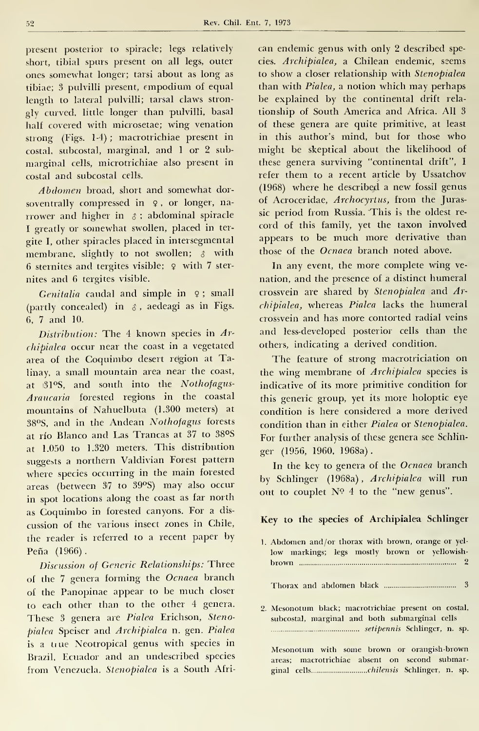Rev. Chil. Ent. 7, 1973

present posterior to spiracle; legs relatively short, tibial spurs present on all legs, outer ones somewhat longer; tarsi about as long as tibiae; <sup>3</sup> pulvilli present, empodium of equal length to lateral pulvilli; tarsal claws stron gly curved, little longer than pulvilli, basal half covered with microsetae; wing venation strong (Figs. 1-4) ; macrotrichiae present in costal, subcostal, marginal, and <sup>1</sup> or 2 sub marginal cells, microtrichiae also present in costal and subcostal cells.

Abdomen broad, short and somewhat dor soventrally compressed in <sup>9</sup> , or longer, na rrower and higher in  $\delta$  ; abdominal spiracle <sup>I</sup> greatly or somewhat swollen, placed in ter gite I, other spiracles placed in intersegmental membrane, slightly to not swollen;  $\delta$  with 6 sternites and tergites visible; <sup>9</sup> with 7 ster nites and 6 tergites visible.

Genitalia caudal and simple in  $9$ ; small (partly concealed) in  $\delta$ , aedeagi as in Figs. 6, <sup>7</sup> and 10.

Distribution: The 4 known species in Archipialea occur near the coast in a vegetated área of the Coquimbo desert rejgion at Talinay, a small mountain area near the coast, at i31°S, and south into the Nothofagus-Araucaria forested regions in the coastal mountains of Nahuelbuta (1.300 meters) at 38°S, and in the Andean Nothofagus forests at río Blanco and Las Trancas at 37 to 38°S at 1.050 to 1.320 meters. This distribution suggests a northern Valdivian Forest pattern where species occurring in the main forested áreas (between <sup>37</sup> to 39°S) may also occur in spot locations along the coast as far north as Coquimbo in forested canyons. For <sup>a</sup> dis cussion of the various insect zones in Chile, the reader is referred to <sup>a</sup> recent paper by Peña (1966).

Discussion of Generic Relationships: Three of the <sup>7</sup> genera forming the Ocnaea branch of the Panopinae appear to be much closer to each other than to the other 4 genera. These 3 genera are Pialea Erichson, Stenopialea Speiser and Archipialea n. gen. Pialea is a true Neotropical genus with species in Brazil, Ecuador and an undescribed species from Venezuela. Stenopialea is a South African endemic genus with only 2 described species. Archipialea, a Chilean endemic, seems to show a closer relationship with Stenopialea than with Pialea, <sup>a</sup> notion which may perhaps be explained by the continental drift rela tionship of South America and África. All 3 of these genera are quite primitive, at least in this author's mind, but for those who might be skeptical about the likelihood of these genera surviving "continental drift", I refer them to a recent article by Ussatchov (1968) where he described <sup>a</sup> new fossil genus of Acroceridae, Archocyrtus, from the Jurassic period from Russia. This is the oldest re cord of this family, yet the taxon involved appears to be much more derivative than those of the Ocnaea branch noted above.

In any event, the more complete wing ve nation, and the presence of a distinct humeral crossvein are shared by Stenopialea and Archipialea, whereas Pialea lacks the humeral crossvein and has more contorted radial veins and less-developed posterior cells than the others, indicating a derived condition.

The feature of strong macrotriciation on the wing membrane of Archipialea species is indicative of its more primitive condition for this generic group, yet its more holoptic eye condition is here considered a more derived condition than in either Pialea or Stenopialea. For further analysis of these genera see Schlin ger (1956, 1960, 1968a).

In the key to genera of the Ocnaea branch by Schlinger (1968a), Archipialea will run out to couplet N° 4 to the "new genus".

# Key to the species of Archipialea Schlinger

| 1. Abdomen and/or thorax with brown, orange or yel-<br>low markings; legs mostly brown or yellowish-            |
|-----------------------------------------------------------------------------------------------------------------|
|                                                                                                                 |
|                                                                                                                 |
| 2. Mesonotum black; macrotrichiae present on costal,<br>subcostal, marginal and both submarginal cells          |
| setipennis Schlinger, n. sp.                                                                                    |
| the contract of the contract of the contract of the contract of the contract of the contract of the contract of |

Mesonotum with some brown or orangish-brown áreas; macrotrichiae absent on second submarginal cells chilensis Schlinger, n. sp.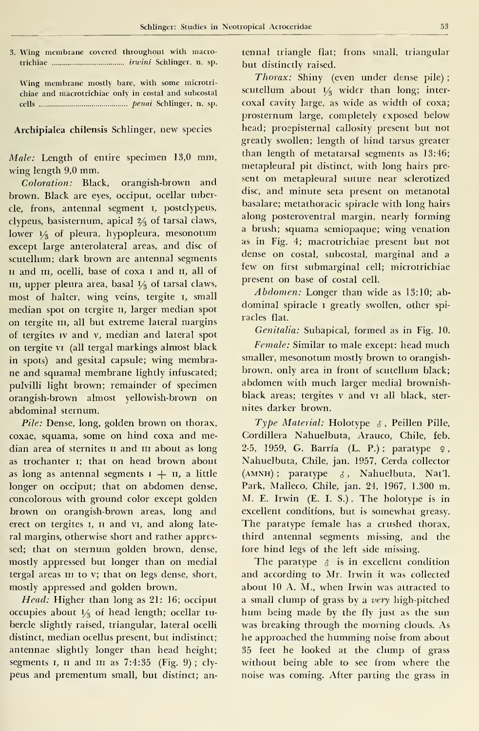3. Wing membrane covered throughout with macrotrichiae irwini Schlinger, n. sp.

Wing membrane mostly bare, with some microtri chiae and macrotrichiae only in costal and subcostal cells penai Schlinger, n. sp.

### Archipialea chilensis Schlinger, new species

Male: Length of entire specimen 13,0 mm, wing length 9,0 mm.

Coloration: Black, orangish-brown and brown. Black are eyes, occiput, ocellar tubercle, frons, antennal segment \, postclypeus, clypeus, basisternum, apical 2/<sup>3</sup> oí tarsal claws, lower  $\frac{1}{3}$  of pleura, hypopleura, mesonotum except large anterolateral areas, and disc of scutellum; dark brown are antennal segments ii and m, ocelli, base of coxa <sup>i</sup> and n, all of  $\mathbf m$ , upper pleura área, basal  $\mathbf V_3$  of tarsal claws,  $\qquad \qquad$ most of halter, wing veins, tergite i, small median spot on tergite n, larger median spot on tergite m, all but extreme lateral margins of tergites iv and v, median and lateral spot on tergite vi (all tergal markings almost black in spots) and gesital capsule; wing membrane and squamal membrane lightly infuscated; pulvilli light brown; remainder of specimen orangish-brown almost yellowish-brown on abdominal sternum.

Pile: Dense, long, golden brown on thorax, coxae, squama, some on hind coxa and median area of sternites II and III about as long as trochanter i; that on head brown about as long as antennal segments  $i + n$ , a little longer on occiput; that on abdomen dense, concolorous with ground color except golden brown on orangish-brown areas, long and erect on tergites i, n and vi, and along late ral margins, otherwise short and rather appressed; that on sternum golden brown, dense, mostly appressed but longer than on medial tergal areas m to v; that on legs dense, short, mostly appressed and golden brown.

Head: Higher than long as 21: 16; occiput oceupies about i/ <sup>3</sup> oí head length; ocellar tu bercle slightly raised, triangular, lateral ocelli distinct, median ocellus present, but indistinct; antennae slightly longer than head height; segments 1, 11 and 111 as 7:4:35 (Fig. 9); clypeus and prementum small, but distinct; antennal triangle fíat; frons small, triangular but distinctly raised.

Thorax: Shiny (even under dense pile) ; scutellum about  $1\frac{1}{3}$  wider than long; intercoxal cavity large, as wide as width of coxa; prosternum large, completely exposed below head; proepisternal callosity present but not greatly swollen; length of hind tarsus greater than length of metatarsal segments as 13:46; metapleural pit distinct, with long hairs pre sent on metapleural suture near selerotized disc, and minute seta present on metanotal basalare; metathoracic spiracle with long hairs along posteroventral margin, nearly forming a brush; squama semiopaque; wing venation as in Fig. 4; macrotrichiae present but not dense on costal, subcostal, marginal and a few on first submarginal cell; microtrichiae present on base of costal cell.

Abdomen: Longer than wide as 13:10; ab dominal spiracle <sup>i</sup> greatly swollen, other spi racles fíat.

Genitalia: Subapical, formed as in Fig. 10.

Female: Similar to male except: head much smaller, mesonotum mostly brown to orangish brown, only area in front of scutellum black; abdomen with much larger medial brownishblack areas; tergites v and vi all black, sternites darker brown.

Type Material: Holotype  $\delta$ , Peillen Pille, Cordillera Nahuelbuta, Arauco, Chile, feb. 2-5, 1959, G. Barría (L. P.); paratype  $9,$ Nahuelbuta, Chile, jan. 1957, Cerda collector (AMNH) ; paratype  $\delta$ , Nahuelbuta, Nat'l. Park, Malleco, Chile, jan. 24, 1967, 1.300 m, M. E. Irwin (E. I. S.) . The holotype is in excellent conditions, but is somewhat greasy. The paratype female has a crushed thorax. third antennal segments missing, and the fore hind legs of the left side missing.

The paratype  $\delta$  is in excellent condition and according to Mr. Irwin it was collected about 10 A. M., when Irwin was attracted to a small clump of grass by a very high-pitched hum being made by the fly just as the sun was breaking through the morning clouds. As he approached the humming noise from about 35 feet he looked at the clump of grass without being able to see from where the noise was coming. After parting the grass in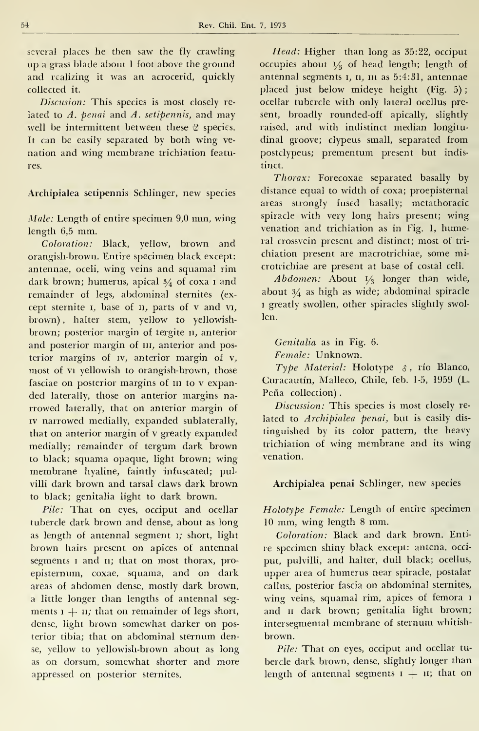several places he then saw the fly crawling up agrass blade about <sup>1</sup> foot above the ground and realizing it was an acrocerid, quickly collected it.

Discusion: This species is most closely related to  $A$ . penai and  $A$ . setipennis, and may well be intermittent between these 2 species. It can be easily separated by both wing ve nation and wing membrane trichiation features.

Archipialea setipennis Schlinger, new species

Male: Length of entire specimen 9,0 mm, wing length 6,5 mm.

Coloration: Black, yellow, brown and orangish-brown. Entire specimen black except: antennae, oceli, wing veins and squamal rim dark brown; humerus, apical  $\frac{3}{4}$  of coxa 1 and remainder of legs, abdominal sternites (ex cept sternite  $\iota$ , base of  $\iota$ , parts of  $\nu$  and  $\nu$ , brown) , halter stem, yellow to yellowish brown; posterior margin of tergite n, anterior and posterior margin of  $III$ , anterior and posterior margins of iv, anterior margin of v, most of vi yellowish to orangish-brown, those fasciae on posterior margins of m to <sup>v</sup> expan ded laterally, those on anterior margins na rrowed laterally, that on anterior margin of iv narrowed medially, expanded sublaterally, that on anterior margin of v greatly expanded medially; remainder of tergum dark brown to black; squama opaque, light brown; wing membrane hyaline, faintly infuscated; pulvilli dark brown and tarsal claws dark brown to black; genitalia light to dark brown.

Pile: That on eyes, occiput and ocellar tubercle dark brown and dense, about as long as length of antennal segment i; short, light brown hairs present on apices of antennal segments <sup>i</sup> and n; that on most thorax, pro episternum, coxae, squama, and on dark áreas of abdomen dense, mostly dark brown, a little longer than lengths of antennal seg ments  $x + n$ ; that on remainder of legs short, dense, light brown somewhat darker on posterior tibia; that on abdominal sternum dense, yellow to yellowish-brown about as long as on dorsum, somewhat shorter and more appressed on posterior sternites.

Head: Higher than long as 35:22, occiput occupies about  $1/3$  of head length; length of antennal segments 1, 11, 111 as 5:4:31, antennae placed just below mideye height (Fig. 5) ocellar tubercle with only lateral ocellus present, broadly rounded-off apically, slightly raised, and with indistinct median longitu dinal groove; clypeus small, separated from postclypeus; prementum present but indistinct.

Thorax: Forecoxae separated basally by distance equal to width of coxa; proepisternal áreas strongly fused basally; metathoracic spíracle with very long hairs present; wing venation and trichiation as in Fig. 1, humeral crossvein present and distinct; most of tri chiation present are macrotrichiae, some microtrichiae are present at base of costal cell.

Abdomen: About  $V_3$  longer than wide, about  $\frac{3}{4}$  as high as wide; abdominal spiracle <sup>1</sup> greatly swollen, other spiracles slightly swollen.

Genitalia as in Fig. 6.

Female: Unknown.

Type Material: Holotype  $\delta$ , río Blanco, Curacautín, Malleco, Chile, feb. 1-5, 1959 (L. Peña collection).

Discussion: This species is most closely related to Archipialea penai, but is easily dis tinguished by its color pattern, the heavy trichiation of wing membrane and its wing venation.

## Archipialea penai Schlinger, new species

Holotype Female: Length of entire specimen <sup>10</sup> mm, wing length <sup>8</sup> mm.

Coloration: Black and dark brown. Entire specimen shiny black except: antena, occi put, pulvilli, and halter, dull black; ocellus, upper area of humerus near spiracle, postalar callos, posterior fascia on abdominal sternites, wing veins, squamal rim, apices of femora 1 and <sup>11</sup> dark brown; genitalia light brown; intersegmental membrane of sternum whitish brown.

Pile: That on eyes, occiput and ocellar tubercle dark brown, dense, slightly longer than length of antennal segments  $1 + 11$ ; that on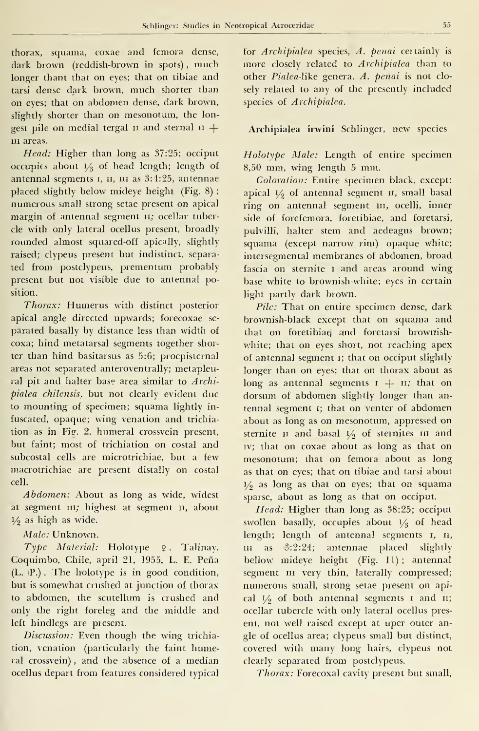thorax, squama, coxae and femora dense, dark brown (reddish-brown in spots) , much longer thant that on eyes; that on tibiae and tarsi dense dark brown, much shorter than on eyes; that on abdomen dense, dark brown, slightly shorter than on mesonotum, the longest pile on medial tergal  $\mu$  and sternal  $\mu$  + m áreas.

Head: Higher than long as 37:25; occiput occupies about  $\frac{1}{2}$  of head length; length of antennal segments I, II, III as 3:4:25, antennae placed slightly below mideye height (Fig. 8) ; numerous small strong setae present on apical margin of antennal segment 11; ocellar tubercle with only lateral ocellus present, broadly rounded almost squared-off apically, slightly raised; clypeus present but indistinct, separa ted from postclypeus, prementum probably present but not visible due to antennal position.

Thorax: Humerus with distinct posterior apical angle directed upwards; forecoxae se parated basally by distance less than width of coxa; hind metatarsal segments together shorter than hind basitarsus as 5:6; proepisternal áreas not separated anteroventrally; metapleural pit and halter base area similar to Archipialea chilensis, but not clearly evident due to mounting of specimen; squama lightly in fuscated, opaque; wing venation and trichia tion as in Fig. 2. humeral crossvein present, but faint; most of trichiation on costal and subcostal cells are microtrichiae, but a few macrotrichiae are present distally on costal cell.

Abdomen: About as long as wide, widest at segment ni; highest at segment n, about  $1/2$  as high as wide.

### Male: Unknown.

Type Material: Holotype  $9$ , Talinay, Coquimbo, Chile, april 21, 1955, L. E. Peña (L. IP.) . The holotype is in good condition, but is somewhat crushed at junction of thorax to abdomen, the scutellum is crushed and only the right foreleg and the middle and left hindlegs are present.

Discussion: Even though the wing trichiation, venation (particularly the faint humeral crossvein) , and the absence of a median ocellus depart from features considered typical

for Archipialea species, A. penai certainly is more closely related to Archipialea than to other Pialea-like genera. A. penai is not closely related to any of the presently included species of Archipialea.

Archipialea irwini Schlinger, new species

Holotype Male: Length of entire specimen 8,50 mm, wing length <sup>5</sup> mm.

Coloration: Entire specimen black. except: apical  $1/9$  of antennal segment  $11$ , small basal ring on antennal segment ni, ocelli, inner side of forefemora, foretibiae, and foretarsi, pulvilli, halter stem and aedeagus brown; squama (except narrow rim) opaque white; intersegmental membranes of abdomen, broad fascia on sternite 1 and areas around wing base white to brownish-white; eyes in certain light partly dark brown.

Pile: That on entire specimen dense, dark brownish-black except that on squama and that on foretibiae and foretarsi brownishwhite; that on eyes short, not reaching apex of antennal segment i; that on occiput slightly longer than on eyes; that on thorax about as long as antennal segments  $i + n$ ; that on dorsum of abdomen slightly longer than an tennal segment i; that on venter of abdomen about as long as on mesonotum, appressed on sternite  $\mu$  and basal  $1/2$  of sternites  $\mu$  and rv; that on coxae about as long as that on mesonotum; that on femora about as long as that on eyes; that on tibiae and tarsi about  $1/6$  as long as that on eyes; that on squama sparse, about as long as that on occiput.

Head: Higher than long as 38:25; occiput swollen basally, occupies about  $1/3$  of head length; length of antennal segments  $\,$ ,  $\,$ n, in as i3:2:24; antennae placed slightly bellow mideye height (Fig. 11); antennal segment  $m$  very thin, laterally compressed; numerous small, strong setae present on apical  $1/2$  of both antennal segments  $1$  and  $11$ ; ocellar tubercle with only lateral ocellus present, not well raised except at uper outer angle of ocellus área; clypeus small but distinct, covered with many long hairs, clypeus not clearly separated from postclypeus.

Thorax: Forecoxal cavity present but small,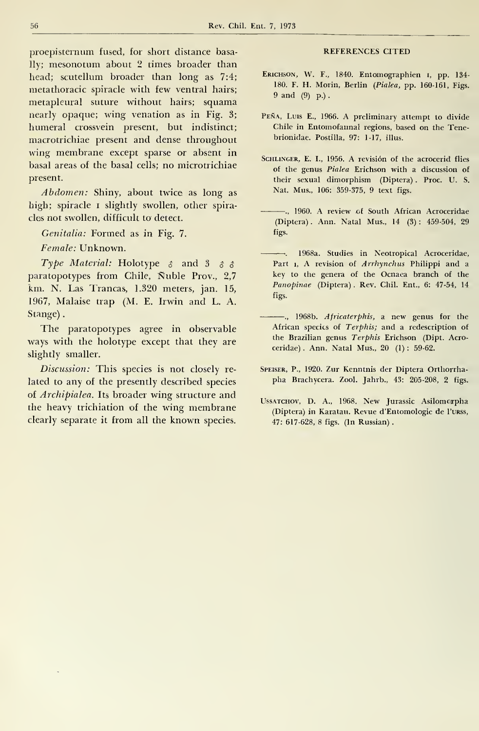proepisternum fused, for short distance basally; mesonotum about 2 times broader than head; scutellum broader than long as 7:4; metathoracic spiracle with few ventral hairs; metapleural suture without hairs; squama nearly opaque; wing venation as in Fig. 3; humeral crossvein present, but indistinct; macrotrichiae present and dense throughout wing membrane except sparse or absent in basal áreas of the basal cells; no microtrichiae present.

Abdomen: Shiny, about twice as long as high; spiracle <sup>i</sup> slightly swollen, other spiracles not swollen, difficult to detect.

Genitalia: Formed as in Fig. 7.

Female: Unknown.

Type Material: Holotype  $\delta$  and  $\delta$   $\delta$   $\delta$ paratopotypes from Chile, Nuble Prov., 2,7 km. N. Las Trancas, 1.320 meters, jan. 15, 1967, Malaise trap (M. E. Irwin and L. A. Stange)

The paratopotypes agree in observable ways with the holotype except that they are slightly smaller.

Discussion: This species is not closely re lated to any of the presently described species of Archipialea. Its broader wing structure and the heavy trichiation of the wing membrane clearly separate it from all the known species.

#### REFERENCES CITED

- ERICHSON, W. F., 1840. Entomographien I, pp. 134-180. F. H. Morin, Berlin (Pialea, pp. 160-161, Figs. 9 and (9) p.) .
- Peña, Luis E., 1966. A preliminary attempt to divide Chile in Entomofaunal regions, based on the Tenebrionidae. Postilla, 97: 1-17, illus.
- SCHLINGER, E. I., 1956. A revisión of the acrocerid flies of the genus Pialea Erichson with a discussion of their sexual dimorphism (Díptera) . Proc. U. S. Nat. Mus., 106: 359-375, 9 text figs.
- ., 1960. A review of South African Acroceridae (Díptera) . Ann. Natal Mus., 14 (3) : 459-504, 29 figs.
- $-$ , 1968a, Studies in Neotropical Acroceridae, Part 1, A revision of Arrhynchus Philippi and a key to the genera of the Ocnaea branch of the Panopinae (Diptera) . Rev. Chil. Ent., 6: 47-54, 14 figs.
- ... 1968b. Africaterphis, a new genus for the African species of Terphis; and a redescription of the Brazilian genus Terphis Erichson (Dipt. Acroceridae) . Ann. Natal Mus., 20 (1) : 59-62.
- Speiser, P., 1920. Zur Kenntnis der Diptera Orthorrha pha Brachycera. Zool. Jahrb., 43: 205-208, 2 figs.
- Ussatchov, D. A., 1968. New Jurassic Asilomcrpha (Diptera) in Karatau. Revue d'Entomologie de 1'urss, 47: 617-628, 8 figs. (In Russian) .